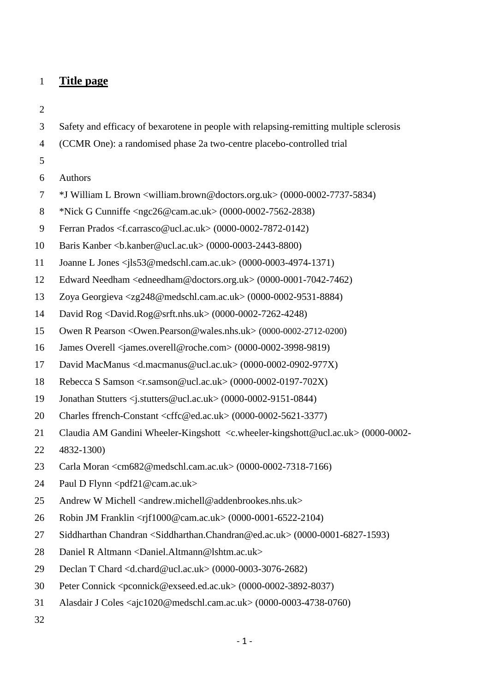- **Title page**
- 
- Safety and efficacy of bexarotene in people with relapsing-remitting multiple sclerosis
- (CCMR One): a randomised phase 2a two-centre placebo-controlled trial
- 
- Authors
- \*J William L Brown <william.brown@doctors.org.uk> (0000-0002-7737-5834)
- \*Nick G Cunniffe <ngc26@cam.ac.uk> (0000-0002-7562-2838)
- Ferran Prados <f.carrasco@ucl.ac.uk> (0000-0002-7872-0142)
- Baris Kanber <b.kanber@ucl.ac.uk> (0000-0003-2443-8800)
- Joanne L Jones <jls53@medschl.cam.ac.uk> (0000-0003-4974-1371)
- Edward Needham <edneedham@doctors.org.uk> (0000-0001-7042-7462)
- Zoya Georgieva <zg248@medschl.cam.ac.uk> (0000-0002-9531-8884)
- David Rog <David.Rog@srft.nhs.uk> (0000-0002-7262-4248)
- Owen R Pearson <Owen.Pearson@wales.nhs.uk> (0000-0002-2712-0200)
- James Overell <james.overell@roche.com> (0000-0002-3998-9819)
- David MacManus <d.macmanus@ucl.ac.uk> (0000-0002-0902-977X)
- Rebecca S Samson <r.samson@ucl.ac.uk> (0000-0002-0197-702X)
- Jonathan Stutters <j.stutters@ucl.ac.uk> (0000-0002-9151-0844)
- 20 Charles ffrench-Constant <cffc@ed.ac.uk> (0000-0002-5621-3377)
- Claudia AM Gandini Wheeler-Kingshott <c.wheeler-kingshott@ucl.ac.uk> (0000-0002-
- 4832-1300)
- Carla Moran <cm682@medschl.cam.ac.uk> (0000-0002-7318-7166)
- Paul D Flynn <pdf21@cam.ac.uk>
- 25 Andrew W Michell  $\langle$  andrew.michell@addenbrookes.nhs.uk $>$
- Robin JM Franklin <rjf1000@cam.ac.uk> (0000-0001-6522-2104)
- Siddharthan Chandran <Siddharthan.Chandran@ed.ac.uk> (0000-0001-6827-1593)
- Daniel R Altmann <Daniel.Altmann@lshtm.ac.uk>
- Declan T Chard <d.chard@ucl.ac.uk> (0000-0003-3076-2682)
- Peter Connick <pconnick@exseed.ed.ac.uk> (0000-0002-3892-8037)
- Alasdair J Coles <ajc1020@medschl.cam.ac.uk> (0000-0003-4738-0760)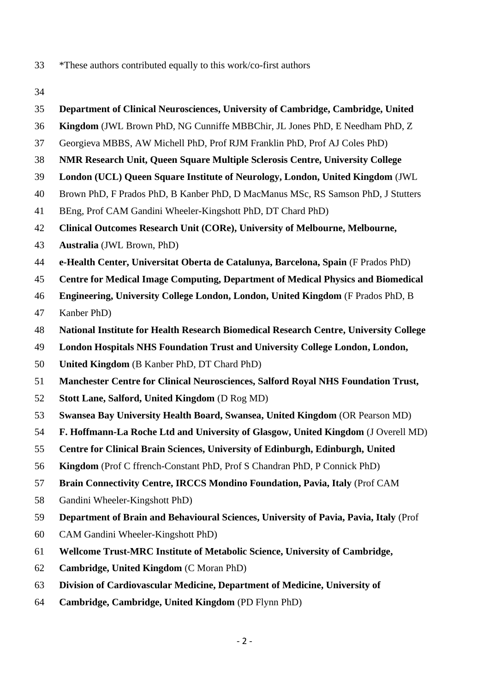- \*These authors contributed equally to this work/co-first authors
- 
- **Department of Clinical Neurosciences, University of Cambridge, Cambridge, United**
- **Kingdom** (JWL Brown PhD, NG Cunniffe MBBChir, JL Jones PhD, E Needham PhD, Z
- Georgieva MBBS, AW Michell PhD, Prof RJM Franklin PhD, Prof AJ Coles PhD)
- **NMR Research Unit, Queen Square Multiple Sclerosis Centre, University College**
- **London (UCL) Queen Square Institute of Neurology, London, United Kingdom** (JWL
- Brown PhD, F Prados PhD, B Kanber PhD, D MacManus MSc, RS Samson PhD, J Stutters
- BEng, Prof CAM Gandini Wheeler-Kingshott PhD, DT Chard PhD)
- **Clinical Outcomes Research Unit (CORe), University of Melbourne, Melbourne,**
- **Australia** (JWL Brown, PhD)
- **e-Health Center, Universitat Oberta de Catalunya, Barcelona, Spain** (F Prados PhD)
- **Centre for Medical Image Computing, Department of Medical Physics and Biomedical**
- **Engineering, University College London, London, United Kingdom** (F Prados PhD, B
- Kanber PhD)
- **National Institute for Health Research Biomedical Research Centre, University College**
- **London Hospitals NHS Foundation Trust and University College London, London,**
- **United Kingdom** (B Kanber PhD, DT Chard PhD)
- **Manchester Centre for Clinical Neurosciences, Salford Royal NHS Foundation Trust,**
- **Stott Lane, Salford, United Kingdom** (D Rog MD)
- **Swansea Bay University Health Board, Swansea, United Kingdom** (OR Pearson MD)
- **F. Hoffmann-La Roche Ltd and University of Glasgow, United Kingdom** (J Overell MD)
- **Centre for Clinical Brain Sciences, University of Edinburgh, Edinburgh, United**
- **Kingdom** (Prof C ffrench-Constant PhD, Prof S Chandran PhD, P Connick PhD)
- **Brain Connectivity Centre, IRCCS Mondino Foundation, Pavia, Italy** (Prof CAM
- Gandini Wheeler-Kingshott PhD)
- **Department of Brain and Behavioural Sciences, University of Pavia, Pavia, Italy** (Prof
- CAM Gandini Wheeler-Kingshott PhD)
- **Wellcome Trust-MRC Institute of Metabolic Science, University of Cambridge,**
- **Cambridge, United Kingdom** (C Moran PhD)
- **Division of Cardiovascular Medicine, Department of Medicine, University of**
- **Cambridge, Cambridge, United Kingdom** (PD Flynn PhD)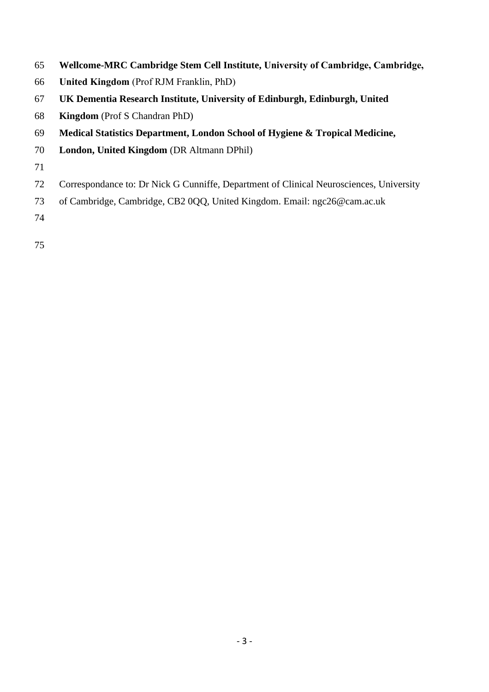- **Wellcome-MRC Cambridge Stem Cell Institute, University of Cambridge, Cambridge,**
- **United Kingdom** (Prof RJM Franklin, PhD)
- **UK Dementia Research Institute, University of Edinburgh, Edinburgh, United**
- **Kingdom** (Prof S Chandran PhD)
- **Medical Statistics Department, London School of Hygiene & Tropical Medicine,**
- **London, United Kingdom** (DR Altmann DPhil)

- Correspondance to: Dr Nick G Cunniffe, Department of Clinical Neurosciences, University
- of Cambridge, Cambridge, CB2 0QQ, United Kingdom. Email: ngc26@cam.ac.uk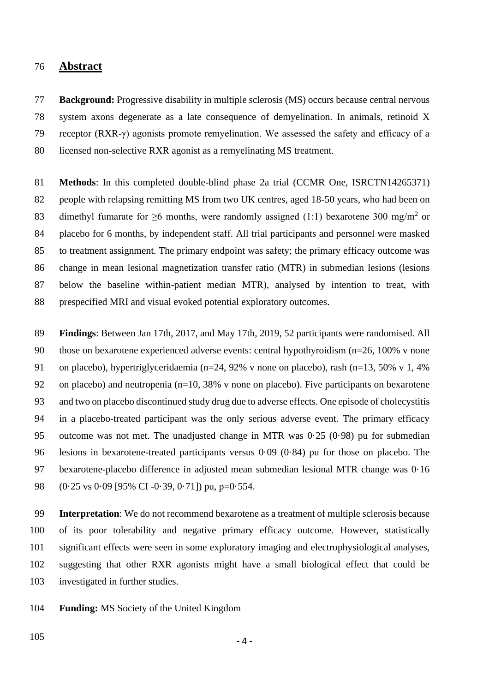## **Abstract**

 **Background:** Progressive disability in multiple sclerosis (MS) occurs because central nervous system axons degenerate as a late consequence of demyelination. In animals, retinoid X receptor (RXR-γ) agonists promote remyelination. We assessed the safety and efficacy of a licensed non-selective RXR agonist as a remyelinating MS treatment.

 **Methods**: In this completed double-blind phase 2a trial (CCMR One, ISRCTN14265371) people with relapsing remitting MS from two UK centres, aged 18-50 years, who had been on 83 dimethyl fumarate for  $\geq$ 6 months, were randomly assigned (1:1) bexarotene 300 mg/m<sup>2</sup> or placebo for 6 months, by independent staff. All trial participants and personnel were masked to treatment assignment. The primary endpoint was safety; the primary efficacy outcome was change in mean lesional magnetization transfer ratio (MTR) in submedian lesions (lesions below the baseline within-patient median MTR), analysed by intention to treat, with prespecified MRI and visual evoked potential exploratory outcomes.

 **Findings**: Between Jan 17th, 2017, and May 17th, 2019, 52 participants were randomised. All those on bexarotene experienced adverse events: central hypothyroidism (n=26, 100% v none on placebo), hypertriglyceridaemia (n=24, 92% v none on placebo), rash (n=13, 50% v 1, 4% 92 on placebo) and neutropenia ( $n=10$ , 38% v none on placebo). Five participants on bexarotene and two on placebo discontinued study drug due to adverse effects. One episode of cholecystitis in a placebo-treated participant was the only serious adverse event. The primary efficacy outcome was not met. The unadjusted change in MTR was 0·25 (0·98) pu for submedian lesions in bexarotene-treated participants versus 0·09 (0·84) pu for those on placebo. The bexarotene-placebo difference in adjusted mean submedian lesional MTR change was 0·16 (0·25 vs 0·09 [95% CI -0·39, 0·71]) pu, p=0·554.

 **Interpretation**: We do not recommend bexarotene as a treatment of multiple sclerosis because of its poor tolerability and negative primary efficacy outcome. However, statistically significant effects were seen in some exploratory imaging and electrophysiological analyses, suggesting that other RXR agonists might have a small biological effect that could be investigated in further studies.

**Funding:** MS Society of the United Kingdom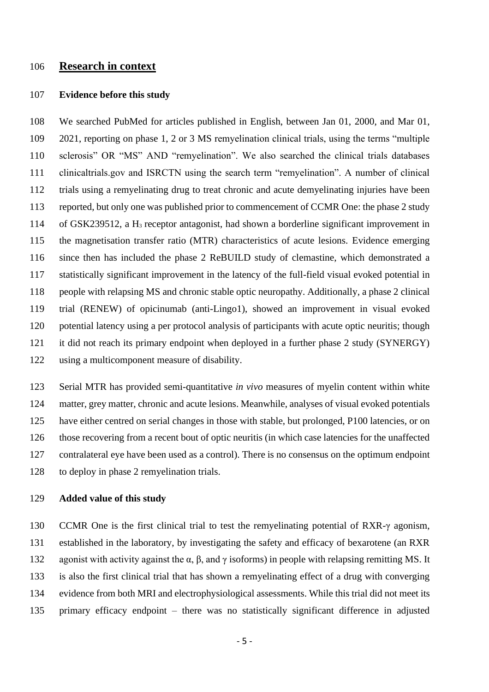# **Research in context**

### **Evidence before this study**

 We searched PubMed for articles published in English, between Jan 01, 2000, and Mar 01, 2021, reporting on phase 1, 2 or 3 MS remyelination clinical trials, using the terms "multiple sclerosis" OR "MS" AND "remyelination". We also searched the clinical trials databases clinicaltrials.gov and ISRCTN using the search term "remyelination". A number of clinical trials using a remyelinating drug to treat chronic and acute demyelinating injuries have been reported, but only one was published prior to commencement of CCMR One: the phase 2 study 114 of GSK239512, a H<sub>3</sub> receptor antagonist, had shown a borderline significant improvement in the magnetisation transfer ratio (MTR) characteristics of acute lesions. Evidence emerging since then has included the phase 2 ReBUILD study of clemastine, which demonstrated a statistically significant improvement in the latency of the full-field visual evoked potential in people with relapsing MS and chronic stable optic neuropathy. Additionally, a phase 2 clinical trial (RENEW) of opicinumab (anti-Lingo1), showed an improvement in visual evoked potential latency using a per protocol analysis of participants with acute optic neuritis; though it did not reach its primary endpoint when deployed in a further phase 2 study (SYNERGY) using a multicomponent measure of disability.

 Serial MTR has provided semi-quantitative *in vivo* measures of myelin content within white matter, grey matter, chronic and acute lesions. Meanwhile, analyses of visual evoked potentials have either centred on serial changes in those with stable, but prolonged, P100 latencies, or on those recovering from a recent bout of optic neuritis (in which case latencies for the unaffected contralateral eye have been used as a control). There is no consensus on the optimum endpoint to deploy in phase 2 remyelination trials.

## **Added value of this study**

 CCMR One is the first clinical trial to test the remyelinating potential of RXR-γ agonism, established in the laboratory, by investigating the safety and efficacy of bexarotene (an RXR 132 agonist with activity against the α, β, and γ isoforms) in people with relapsing remitting MS. It is also the first clinical trial that has shown a remyelinating effect of a drug with converging evidence from both MRI and electrophysiological assessments. While this trial did not meet its primary efficacy endpoint – there was no statistically significant difference in adjusted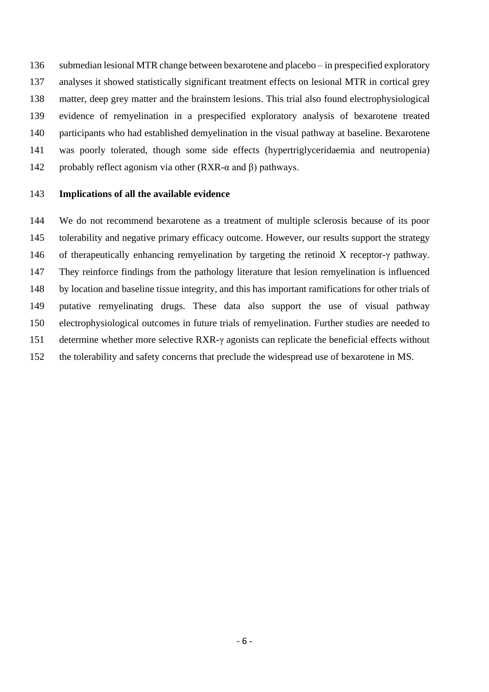submedian lesional MTR change between bexarotene and placebo – in prespecified exploratory analyses it showed statistically significant treatment effects on lesional MTR in cortical grey matter, deep grey matter and the brainstem lesions. This trial also found electrophysiological evidence of remyelination in a prespecified exploratory analysis of bexarotene treated participants who had established demyelination in the visual pathway at baseline. Bexarotene was poorly tolerated, though some side effects (hypertriglyceridaemia and neutropenia) 142 probably reflect agonism via other (RXR- $\alpha$  and  $\beta$ ) pathways.

### **Implications of all the available evidence**

 We do not recommend bexarotene as a treatment of multiple sclerosis because of its poor tolerability and negative primary efficacy outcome. However, our results support the strategy of therapeutically enhancing remyelination by targeting the retinoid X receptor-γ pathway. They reinforce findings from the pathology literature that lesion remyelination is influenced by location and baseline tissue integrity, and this has important ramifications for other trials of putative remyelinating drugs. These data also support the use of visual pathway electrophysiological outcomes in future trials of remyelination. Further studies are needed to determine whether more selective RXR-γ agonists can replicate the beneficial effects without the tolerability and safety concerns that preclude the widespread use of bexarotene in MS.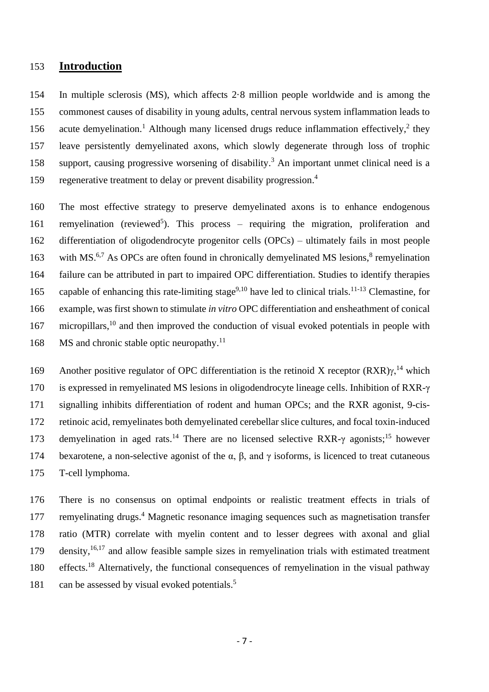# 153 **Introduction**

154 In multiple sclerosis (MS), which affects 2·8 million people worldwide and is among the 155 commonest causes of disability in young adults, central nervous system inflammation leads to 156 acute demyelination.<sup>1</sup> Although many licensed drugs reduce inflammation effectively,<sup>2</sup> they 157 leave persistently demyelinated axons, which slowly degenerate through loss of trophic 158 support, causing progressive worsening of disability.<sup>3</sup> An important unmet clinical need is a regenerative treatment to delay or prevent disability progression. 4 159

160 The most effective strategy to preserve demyelinated axons is to enhance endogenous 161 remyelination (reviewed<sup>5</sup>). This process – requiring the migration, proliferation and 162 differentiation of oligodendrocyte progenitor cells (OPCs) – ultimately fails in most people 163 with MS.<sup>6,7</sup> As OPCs are often found in chronically demyelinated MS lesions,<sup>8</sup> remyelination 164 failure can be attributed in part to impaired OPC differentiation. Studies to identify therapies 165 capable of enhancing this rate-limiting stage<sup>9,10</sup> have led to clinical trials.<sup>11-13</sup> Clemastine, for 166 example, was first shown to stimulate *in vitro* OPC differentiation and ensheathment of conical 167 micropillars,<sup>10</sup> and then improved the conduction of visual evoked potentials in people with 168 MS and chronic stable optic neuropathy.<sup>11</sup>

169 Another positive regulator of OPC differentiation is the retinoid X receptor  $(RXR)y$ ,<sup>14</sup> which 170 is expressed in remyelinated MS lesions in oligodendrocyte lineage cells. Inhibition of RXR-γ 171 signalling inhibits differentiation of rodent and human OPCs; and the RXR agonist, 9-cis-172 retinoic acid, remyelinates both demyelinated cerebellar slice cultures, and focal toxin-induced 173 demyelination in aged rats.<sup>14</sup> There are no licensed selective RXR- $\gamma$  agonists;<sup>15</sup> however 174 bexarotene, a non-selective agonist of the α, β, and γ isoforms, is licenced to treat cutaneous 175 T-cell lymphoma.

176 There is no consensus on optimal endpoints or realistic treatment effects in trials of 177 remyelinating drugs.<sup>4</sup> Magnetic resonance imaging sequences such as magnetisation transfer 178 ratio (MTR) correlate with myelin content and to lesser degrees with axonal and glial 179 density,  $16,17$  and allow feasible sample sizes in remyelination trials with estimated treatment 180 effects.<sup>18</sup> Alternatively, the functional consequences of remyelination in the visual pathway can be assessed by visual evoked potentials. 5 181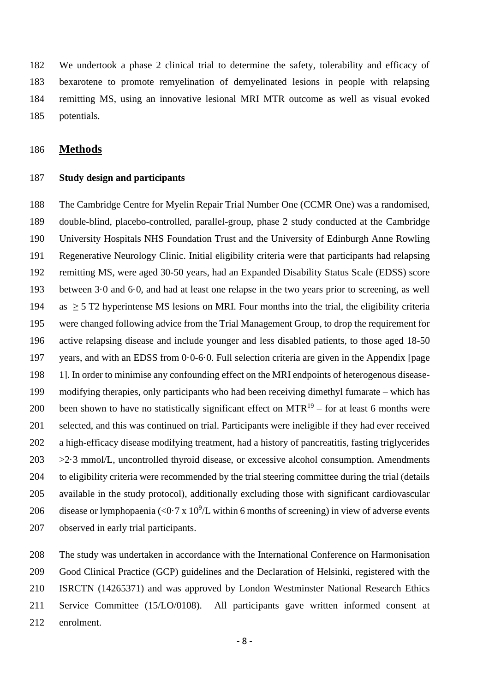We undertook a phase 2 clinical trial to determine the safety, tolerability and efficacy of bexarotene to promote remyelination of demyelinated lesions in people with relapsing remitting MS, using an innovative lesional MRI MTR outcome as well as visual evoked potentials.

## **Methods**

#### **Study design and participants**

 The Cambridge Centre for Myelin Repair Trial Number One (CCMR One) was a randomised, double-blind, placebo-controlled, parallel-group, phase 2 study conducted at the Cambridge University Hospitals NHS Foundation Trust and the University of Edinburgh Anne Rowling Regenerative Neurology Clinic. Initial eligibility criteria were that participants had relapsing remitting MS, were aged 30-50 years, had an Expanded Disability Status Scale (EDSS) score between 3·0 and 6·0, and had at least one relapse in the two years prior to screening, as well 194 as  $\geq$  5 T2 hyperintense MS lesions on MRI. Four months into the trial, the eligibility criteria were changed following advice from the Trial Management Group, to drop the requirement for active relapsing disease and include younger and less disabled patients, to those aged 18-50 years, and with an EDSS from 0·0-6·0. Full selection criteria are given in the Appendix [page 1]. In order to minimise any confounding effect on the MRI endpoints of heterogenous disease- modifying therapies, only participants who had been receiving dimethyl fumarate – which has 200 been shown to have no statistically significant effect on  $MTR^{19}$  – for at least 6 months were selected, and this was continued on trial. Participants were ineligible if they had ever received a high-efficacy disease modifying treatment, had a history of pancreatitis, fasting triglycerides  $203 \rightarrow 2.3$  mmol/L, uncontrolled thyroid disease, or excessive alcohol consumption. Amendments to eligibility criteria were recommended by the trial steering committee during the trial (details available in the study protocol), additionally excluding those with significant cardiovascular 206 disease or lymphopaenia (<0.7 x  $10^9$ /L within 6 months of screening) in view of adverse events observed in early trial participants.

 The study was undertaken in accordance with the International Conference on Harmonisation Good Clinical Practice (GCP) guidelines and the Declaration of Helsinki, registered with the ISRCTN (14265371) and was approved by London Westminster National Research Ethics Service Committee (15/LO/0108). All participants gave written informed consent at enrolment.

- 8 -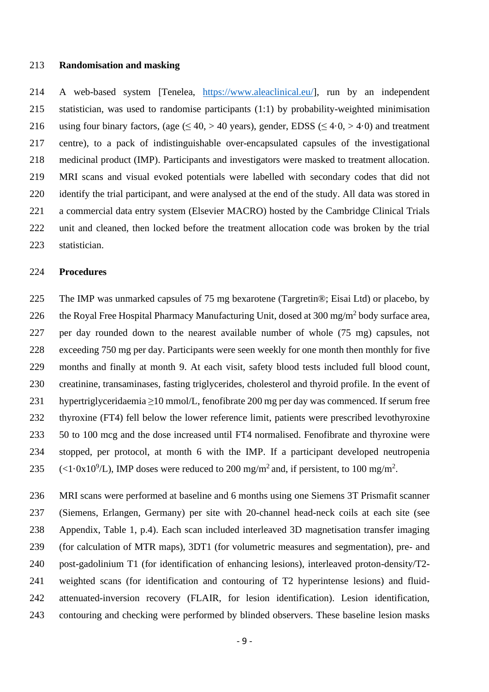#### **Randomisation and masking**

 A web-based system [Tenelea, [https://www.aleaclinical.eu/\]](https://www.aleaclinical.eu/), run by an independent statistician, was used to randomise participants (1:1) by probability-weighted minimisation 216 using four binary factors, (age  $(\leq 40, > 40$  years), gender, EDSS  $(\leq 4.0, > 4.0)$  and treatment centre), to a pack of indistinguishable over-encapsulated capsules of the investigational medicinal product (IMP). Participants and investigators were masked to treatment allocation. MRI scans and visual evoked potentials were labelled with secondary codes that did not identify the trial participant, and were analysed at the end of the study. All data was stored in a commercial data entry system (Elsevier MACRO) hosted by the Cambridge Clinical Trials unit and cleaned, then locked before the treatment allocation code was broken by the trial statistician.

#### **Procedures**

 The IMP was unmarked capsules of 75 mg bexarotene (Targretin®; Eisai Ltd) or placebo, by 226 the Royal Free Hospital Pharmacy Manufacturing Unit, dosed at 300 mg/m<sup>2</sup> body surface area, per day rounded down to the nearest available number of whole (75 mg) capsules, not exceeding 750 mg per day. Participants were seen weekly for one month then monthly for five months and finally at month 9. At each visit, safety blood tests included full blood count, creatinine, transaminases, fasting triglycerides, cholesterol and thyroid profile. In the event of hypertriglyceridaemia ≥10 mmol/L, fenofibrate 200 mg per day was commenced. If serum free thyroxine (FT4) fell below the lower reference limit, patients were prescribed levothyroxine 50 to 100 mcg and the dose increased until FT4 normalised. Fenofibrate and thyroxine were stopped, per protocol, at month 6 with the IMP. If a participant developed neutropenia 235 (<1 $\cdot$ 0x10<sup>9</sup>/L), IMP doses were reduced to 200 mg/m<sup>2</sup> and, if persistent, to 100 mg/m<sup>2</sup>.

 MRI scans were performed at baseline and 6 months using one Siemens 3T Prismafit scanner (Siemens, Erlangen, Germany) per site with 20-channel head-neck coils at each site (see Appendix, Table 1, p.4). Each scan included interleaved 3D magnetisation transfer imaging (for calculation of MTR maps), 3DT1 (for volumetric measures and segmentation), pre- and post-gadolinium T1 (for identification of enhancing lesions), interleaved proton-density/T2- weighted scans (for identification and contouring of T2 hyperintense lesions) and fluid- attenuated-inversion recovery (FLAIR, for lesion identification). Lesion identification, contouring and checking were performed by blinded observers. These baseline lesion masks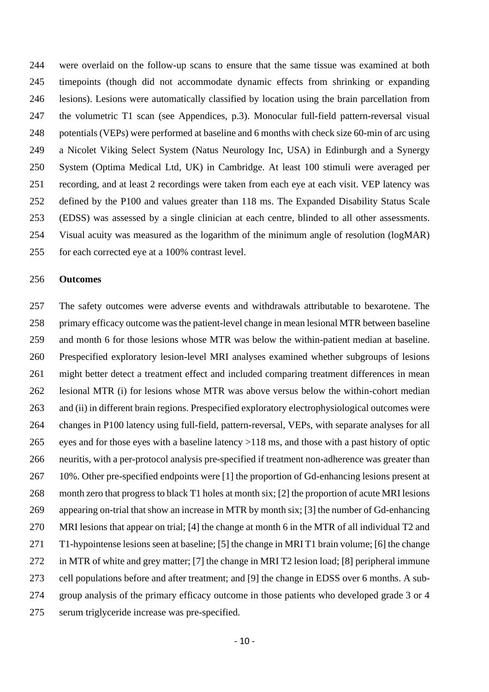were overlaid on the follow-up scans to ensure that the same tissue was examined at both timepoints (though did not accommodate dynamic effects from shrinking or expanding lesions). Lesions were automatically classified by location using the brain parcellation from the volumetric T1 scan (see Appendices, p.3). Monocular full-field pattern-reversal visual potentials (VEPs) were performed at baseline and 6 months with check size 60-min of arc using a Nicolet Viking Select System (Natus Neurology Inc, USA) in Edinburgh and a Synergy System (Optima Medical Ltd, UK) in Cambridge. At least 100 stimuli were averaged per recording, and at least 2 recordings were taken from each eye at each visit. VEP latency was defined by the P100 and values greater than 118 ms. The Expanded Disability Status Scale (EDSS) was assessed by a single clinician at each centre, blinded to all other assessments. Visual acuity was measured as the logarithm of the minimum angle of resolution (logMAR) for each corrected eye at a 100% contrast level.

#### **Outcomes**

 The safety outcomes were adverse events and withdrawals attributable to bexarotene. The primary efficacy outcome was the patient-level change in mean lesional MTR between baseline and month 6 for those lesions whose MTR was below the within-patient median at baseline. Prespecified exploratory lesion-level MRI analyses examined whether subgroups of lesions might better detect a treatment effect and included comparing treatment differences in mean lesional MTR (i) for lesions whose MTR was above versus below the within-cohort median and (ii) in different brain regions. Prespecified exploratory electrophysiological outcomes were changes in P100 latency using full-field, pattern-reversal, VEPs, with separate analyses for all eyes and for those eyes with a baseline latency >118 ms, and those with a past history of optic neuritis, with a per-protocol analysis pre-specified if treatment non-adherence was greater than 10%. Other pre-specified endpoints were [1] the proportion of Gd-enhancing lesions present at month zero that progress to black T1 holes at month six; [2] the proportion of acute MRI lesions appearing on-trial that show an increase in MTR by month six; [3] the number of Gd-enhancing MRI lesions that appear on trial; [4] the change at month 6 in the MTR of all individual T2 and T1-hypointense lesions seen at baseline; [5] the change in MRI T1 brain volume; [6] the change in MTR of white and grey matter; [7] the change in MRI T2 lesion load; [8] peripheral immune cell populations before and after treatment; and [9] the change in EDSS over 6 months. A sub- group analysis of the primary efficacy outcome in those patients who developed grade 3 or 4 serum triglyceride increase was pre-specified.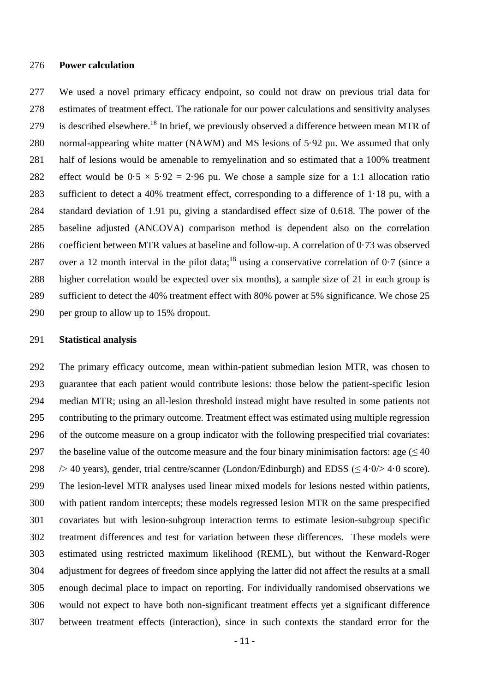#### **Power calculation**

 We used a novel primary efficacy endpoint, so could not draw on previous trial data for estimates of treatment effect. The rationale for our power calculations and sensitivity analyses 279 is described elsewhere.<sup>18</sup> In brief, we previously observed a difference between mean MTR of normal-appearing white matter (NAWM) and MS lesions of 5·92 pu. We assumed that only half of lesions would be amenable to remyelination and so estimated that a 100% treatment 282 effect would be  $0.5 \times 5.92 = 2.96$  pu. We chose a sample size for a 1:1 allocation ratio sufficient to detect a 40% treatment effect, corresponding to a difference of 1·18 pu, with a standard deviation of 1.91 pu, giving a standardised effect size of 0.618. The power of the baseline adjusted (ANCOVA) comparison method is dependent also on the correlation coefficient between MTR values at baseline and follow-up. A correlation of 0·73 was observed 287 over a 12 month interval in the pilot data;<sup>18</sup> using a conservative correlation of  $0.7$  (since a higher correlation would be expected over six months), a sample size of 21 in each group is sufficient to detect the 40% treatment effect with 80% power at 5% significance. We chose 25 per group to allow up to 15% dropout.

#### **Statistical analysis**

 The primary efficacy outcome, mean within-patient submedian lesion MTR, was chosen to guarantee that each patient would contribute lesions: those below the patient-specific lesion median MTR; using an all-lesion threshold instead might have resulted in some patients not contributing to the primary outcome. Treatment effect was estimated using multiple regression of the outcome measure on a group indicator with the following prespecified trial covariates: 297 the baseline value of the outcome measure and the four binary minimisation factors: age  $(\leq 40)$  $\rightarrow$  40 years), gender, trial centre/scanner (London/Edinburgh) and EDSS ( $\leq$  4·0/ $>$  4·0 score). The lesion-level MTR analyses used linear mixed models for lesions nested within patients, with patient random intercepts; these models regressed lesion MTR on the same prespecified covariates but with lesion-subgroup interaction terms to estimate lesion-subgroup specific treatment differences and test for variation between these differences. These models were estimated using restricted maximum likelihood (REML), but without the Kenward-Roger adjustment for degrees of freedom since applying the latter did not affect the results at a small enough decimal place to impact on reporting. For individually randomised observations we would not expect to have both non-significant treatment effects yet a significant difference between treatment effects (interaction), since in such contexts the standard error for the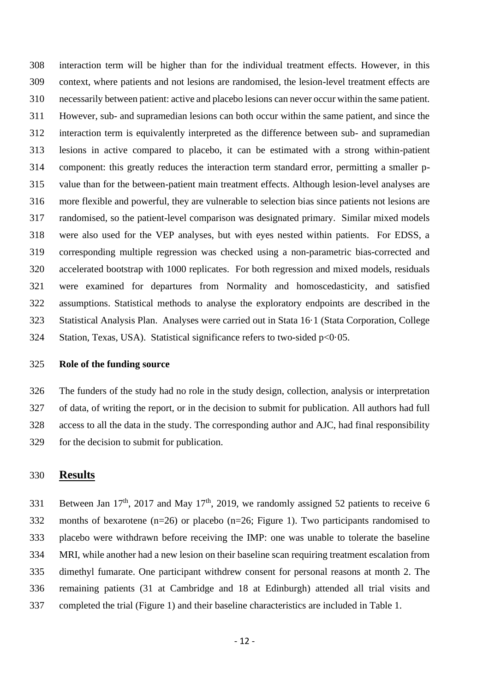interaction term will be higher than for the individual treatment effects. However, in this context, where patients and not lesions are randomised, the lesion-level treatment effects are necessarily between patient: active and placebo lesions can never occur within the same patient. However, sub- and supramedian lesions can both occur within the same patient, and since the interaction term is equivalently interpreted as the difference between sub- and supramedian lesions in active compared to placebo, it can be estimated with a strong within-patient component: this greatly reduces the interaction term standard error, permitting a smaller p- value than for the between-patient main treatment effects. Although lesion-level analyses are more flexible and powerful, they are vulnerable to selection bias since patients not lesions are randomised, so the patient-level comparison was designated primary. Similar mixed models were also used for the VEP analyses, but with eyes nested within patients. For EDSS, a corresponding multiple regression was checked using a non-parametric bias-corrected and accelerated bootstrap with 1000 replicates. For both regression and mixed models, residuals were examined for departures from Normality and homoscedasticity, and satisfied assumptions. Statistical methods to analyse the exploratory endpoints are described in the Statistical Analysis Plan. Analyses were carried out in Stata 16·1 (Stata Corporation, College Station, Texas, USA). Statistical significance refers to two-sided p<0·05.

## **Role of the funding source**

 The funders of the study had no role in the study design, collection, analysis or interpretation of data, of writing the report, or in the decision to submit for publication. All authors had full access to all the data in the study. The corresponding author and AJC, had final responsibility for the decision to submit for publication.

## **Results**

Between Jan 17<sup>th</sup>, 2017 and May 17<sup>th</sup>, 2019, we randomly assigned 52 patients to receive 6 months of bexarotene (n=26) or placebo (n=26; Figure 1). Two participants randomised to placebo were withdrawn before receiving the IMP: one was unable to tolerate the baseline MRI, while another had a new lesion on their baseline scan requiring treatment escalation from dimethyl fumarate. One participant withdrew consent for personal reasons at month 2. The remaining patients (31 at Cambridge and 18 at Edinburgh) attended all trial visits and completed the trial (Figure 1) and their baseline characteristics are included in Table 1.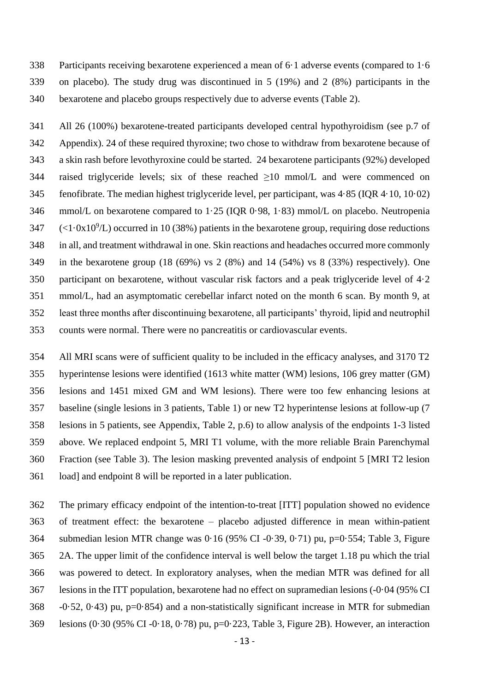Participants receiving bexarotene experienced a mean of 6·1 adverse events (compared to 1·6 on placebo). The study drug was discontinued in 5 (19%) and 2 (8%) participants in the bexarotene and placebo groups respectively due to adverse events (Table 2).

 All 26 (100%) bexarotene-treated participants developed central hypothyroidism (see p.7 of Appendix). 24 of these required thyroxine; two chose to withdraw from bexarotene because of a skin rash before levothyroxine could be started. 24 bexarotene participants (92%) developed 344 raised triglyceride levels; six of these reached  $\geq$ 10 mmol/L and were commenced on fenofibrate. The median highest triglyceride level, per participant, was 4·85 (IQR 4·10, 10·02) mmol/L on bexarotene compared to 1·25 (IQR 0·98, 1·83) mmol/L on placebo. Neutropenia  $\left( \langle 1.0x10^9 \rangle L \right)$  occurred in 10 (38%) patients in the bexarotene group, requiring dose reductions in all, and treatment withdrawal in one. Skin reactions and headaches occurred more commonly in the bexarotene group (18 (69%) vs 2 (8%) and 14 (54%) vs 8 (33%) respectively). One participant on bexarotene, without vascular risk factors and a peak triglyceride level of 4·2 mmol/L, had an asymptomatic cerebellar infarct noted on the month 6 scan. By month 9, at least three months after discontinuing bexarotene, all participants' thyroid, lipid and neutrophil counts were normal. There were no pancreatitis or cardiovascular events.

 All MRI scans were of sufficient quality to be included in the efficacy analyses, and 3170 T2 hyperintense lesions were identified (1613 white matter (WM) lesions, 106 grey matter (GM) lesions and 1451 mixed GM and WM lesions). There were too few enhancing lesions at baseline (single lesions in 3 patients, Table 1) or new T2 hyperintense lesions at follow-up (7 lesions in 5 patients, see Appendix, Table 2, p.6) to allow analysis of the endpoints 1-3 listed above. We replaced endpoint 5, MRI T1 volume, with the more reliable Brain Parenchymal Fraction (see Table 3). The lesion masking prevented analysis of endpoint 5 [MRI T2 lesion load] and endpoint 8 will be reported in a later publication.

 The primary efficacy endpoint of the intention-to-treat [ITT] population showed no evidence of treatment effect: the bexarotene – placebo adjusted difference in mean within-patient submedian lesion MTR change was 0·16 (95% CI -0·39, 0·71) pu, p=0·554; Table 3, Figure 2A. The upper limit of the confidence interval is well below the target 1.18 pu which the trial was powered to detect. In exploratory analyses, when the median MTR was defined for all lesions in the ITT population, bexarotene had no effect on supramedian lesions (-0·04 (95% CI -0·52, 0·43) pu, p=0·854) and a non-statistically significant increase in MTR for submedian lesions (0·30 (95% CI -0·18, 0·78) pu, p=0·223, Table 3, Figure 2B). However, an interaction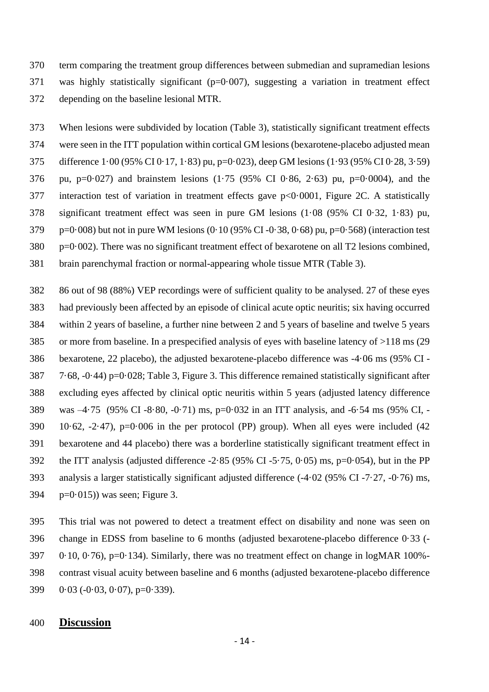term comparing the treatment group differences between submedian and supramedian lesions was highly statistically significant (p=0·007), suggesting a variation in treatment effect depending on the baseline lesional MTR.

 When lesions were subdivided by location (Table 3), statistically significant treatment effects were seen in the ITT population within cortical GM lesions (bexarotene-placebo adjusted mean difference 1·00 (95% CI 0·17, 1·83) pu, p=0·023), deep GM lesions (1·93 (95% CI 0·28, 3·59) 376 pu, p=0.027) and brainstem lesions  $(1.75 \ (95\% \ CI \ 0.86, 2.63)$  pu, p=0.0004), and the interaction test of variation in treatment effects gave p<0·0001, Figure 2C. A statistically significant treatment effect was seen in pure GM lesions (1·08 (95% CI 0·32, 1·83) pu, p=0·008) but not in pure WM lesions (0·10 (95% CI-0·38, 0·68) pu, p=0·568) (interaction test p=0·002). There was no significant treatment effect of bexarotene on all T2 lesions combined, brain parenchymal fraction or normal-appearing whole tissue MTR (Table 3).

 86 out of 98 (88%) VEP recordings were of sufficient quality to be analysed. 27 of these eyes had previously been affected by an episode of clinical acute optic neuritis; six having occurred within 2 years of baseline, a further nine between 2 and 5 years of baseline and twelve 5 years or more from baseline. In a prespecified analysis of eyes with baseline latency of >118 ms (29 bexarotene, 22 placebo), the adjusted bexarotene-placebo difference was -4·06 ms (95% CI - 7·68, -0·44) p=0·028; Table 3, Figure 3. This difference remained statistically significant after excluding eyes affected by clinical optic neuritis within 5 years (adjusted latency difference was –4·75 (95% CI -8·80, -0·71) ms, p=0·032 in an ITT analysis, and -6·54 ms (95% CI, - 390 10·62,  $-2.47$ ), p=0·006 in the per protocol (PP) group). When all eyes were included (42 bexarotene and 44 placebo) there was a borderline statistically significant treatment effect in the ITT analysis (adjusted difference -2·85 (95% CI -5·75, 0·05) ms, p=0·054), but in the PP analysis a larger statistically significant adjusted difference (-4·02 (95% CI -7·27, -0·76) ms, p=0.015)) was seen; Figure 3.

 This trial was not powered to detect a treatment effect on disability and none was seen on change in EDSS from baseline to 6 months (adjusted bexarotene-placebo difference 0·33 (- 0·10, 0·76), p=0·134). Similarly, there was no treatment effect on change in logMAR 100%- contrast visual acuity between baseline and 6 months (adjusted bexarotene-placebo difference 0·03 (-0·03, 0·07), p=0·339).

## **Discussion**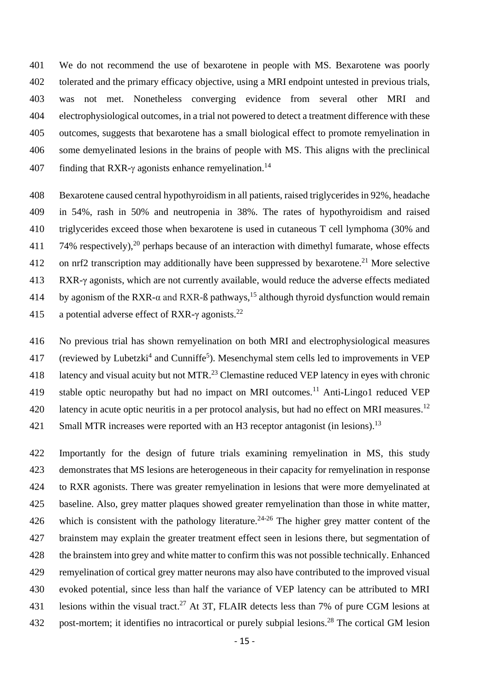We do not recommend the use of bexarotene in people with MS. Bexarotene was poorly tolerated and the primary efficacy objective, using a MRI endpoint untested in previous trials, was not met. Nonetheless converging evidence from several other MRI and electrophysiological outcomes, in a trial not powered to detect a treatment difference with these outcomes, suggests that bexarotene has a small biological effect to promote remyelination in some demyelinated lesions in the brains of people with MS. This aligns with the preclinical 407 finding that RXR- $\gamma$  agonists enhance remyelination.<sup>14</sup>

 Bexarotene caused central hypothyroidism in all patients, raised triglycerides in 92%, headache in 54%, rash in 50% and neutropenia in 38%. The rates of hypothyroidism and raised triglycerides exceed those when bexarotene is used in cutaneous T cell lymphoma (30% and  $\,$  74% respectively),<sup>20</sup> perhaps because of an interaction with dimethyl fumarate, whose effects 412 on nrf2 transcription may additionally have been suppressed by bexarotene.<sup>21</sup> More selective RXR-γ agonists, which are not currently available, would reduce the adverse effects mediated 414 by agonism of the RXR- $\alpha$  and RXR- $\beta$  pathways,<sup>15</sup> although thyroid dysfunction would remain 415 a potential adverse effect of RXR-γ agonists.<sup>22</sup>

416 No previous trial has shown remyelination on both MRI and electrophysiological measures 417 (reviewed by Lubetzki<sup>4</sup> and Cunniffe<sup>5</sup>). Mesenchymal stem cells led to improvements in VEP 418 latency and visual acuity but not MTR.<sup>23</sup> Clemastine reduced VEP latency in eyes with chronic 419 stable optic neuropathy but had no impact on MRI outcomes.<sup>11</sup> Anti-Lingo1 reduced VEP 420 latency in acute optic neuritis in a per protocol analysis, but had no effect on MRI measures.<sup>12</sup> 421 Small MTR increases were reported with an H3 receptor antagonist (in lesions).<sup>13</sup>

 Importantly for the design of future trials examining remyelination in MS, this study demonstrates that MS lesions are heterogeneous in their capacity for remyelination in response to RXR agonists. There was greater remyelination in lesions that were more demyelinated at baseline. Also, grey matter plaques showed greater remyelination than those in white matter, 426 which is consistent with the pathology literature.<sup>24-26</sup> The higher grey matter content of the brainstem may explain the greater treatment effect seen in lesions there, but segmentation of the brainstem into grey and white matter to confirm this was not possible technically. Enhanced remyelination of cortical grey matter neurons may also have contributed to the improved visual evoked potential, since less than half the variance of VEP latency can be attributed to MRI 431 lesions within the visual tract.<sup>27</sup> At 3T, FLAIR detects less than 7% of pure CGM lesions at 432 post-mortem; it identifies no intracortical or purely subpial lesions.<sup>28</sup> The cortical GM lesion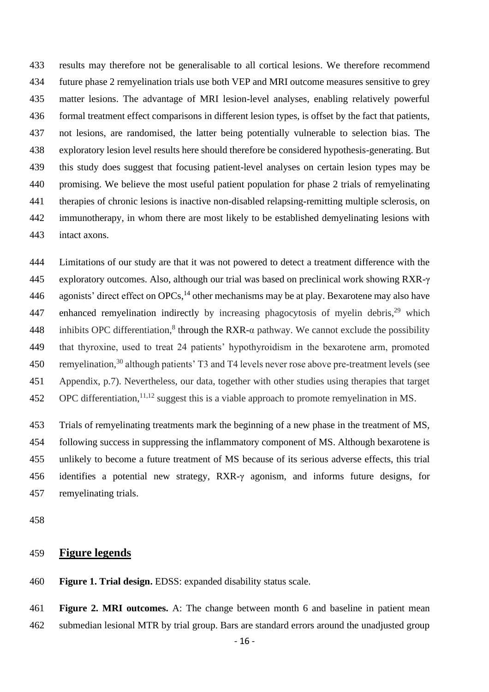results may therefore not be generalisable to all cortical lesions. We therefore recommend future phase 2 remyelination trials use both VEP and MRI outcome measures sensitive to grey matter lesions. The advantage of MRI lesion-level analyses, enabling relatively powerful formal treatment effect comparisons in different lesion types, is offset by the fact that patients, not lesions, are randomised, the latter being potentially vulnerable to selection bias. The exploratory lesion level results here should therefore be considered hypothesis-generating. But this study does suggest that focusing patient-level analyses on certain lesion types may be promising. We believe the most useful patient population for phase 2 trials of remyelinating therapies of chronic lesions is inactive non-disabled relapsing-remitting multiple sclerosis, on immunotherapy, in whom there are most likely to be established demyelinating lesions with intact axons.

 Limitations of our study are that it was not powered to detect a treatment difference with the exploratory outcomes. Also, although our trial was based on preclinical work showing RXR-γ 446 agonists' direct effect on OPCs,  $^{14}$  other mechanisms may be at play. Bexarotene may also have 447 enhanced remyelination indirectly by increasing phagocytosis of myelin debris,<sup>29</sup> which 448 inhibits OPC differentiation,<sup>8</sup> through the RXR- $\alpha$  pathway. We cannot exclude the possibility that thyroxine, used to treat 24 patients' hypothyroidism in the bexarotene arm, promoted 450 remyelination,<sup>30</sup> although patients' T3 and T4 levels never rose above pre-treatment levels (see Appendix, p.7). Nevertheless, our data, together with other studies using therapies that target OPC differentiation,  $11,12$  suggest this is a viable approach to promote remyelination in MS.

 Trials of remyelinating treatments mark the beginning of a new phase in the treatment of MS, following success in suppressing the inflammatory component of MS. Although bexarotene is unlikely to become a future treatment of MS because of its serious adverse effects, this trial identifies a potential new strategy, RXR-γ agonism, and informs future designs, for remyelinating trials.

# **Figure legends**

**Figure 1. Trial design.** EDSS: expanded disability status scale.

 **Figure 2. MRI outcomes.** A: The change between month 6 and baseline in patient mean submedian lesional MTR by trial group. Bars are standard errors around the unadjusted group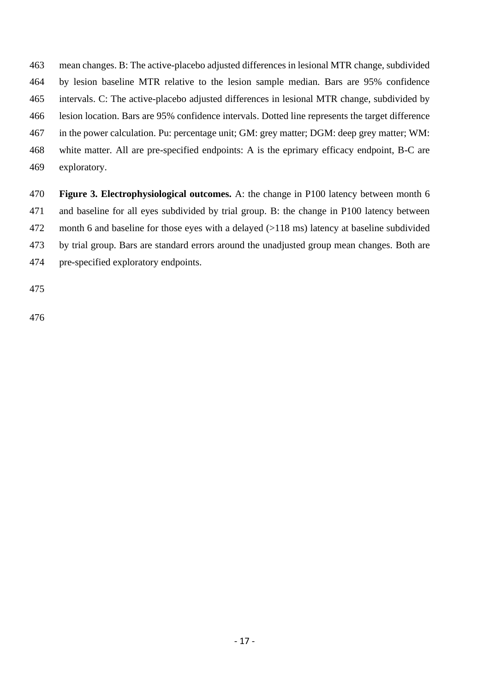mean changes. B: The active-placebo adjusted differences in lesional MTR change, subdivided by lesion baseline MTR relative to the lesion sample median. Bars are 95% confidence intervals. C: The active-placebo adjusted differences in lesional MTR change, subdivided by lesion location. Bars are 95% confidence intervals. Dotted line represents the target difference in the power calculation. Pu: percentage unit; GM: grey matter; DGM: deep grey matter; WM: white matter. All are pre-specified endpoints: A is the eprimary efficacy endpoint, B-C are exploratory.

 **Figure 3. Electrophysiological outcomes.** A: the change in P100 latency between month 6 and baseline for all eyes subdivided by trial group. B: the change in P100 latency between month 6 and baseline for those eyes with a delayed (>118 ms) latency at baseline subdivided by trial group. Bars are standard errors around the unadjusted group mean changes. Both are pre-specified exploratory endpoints.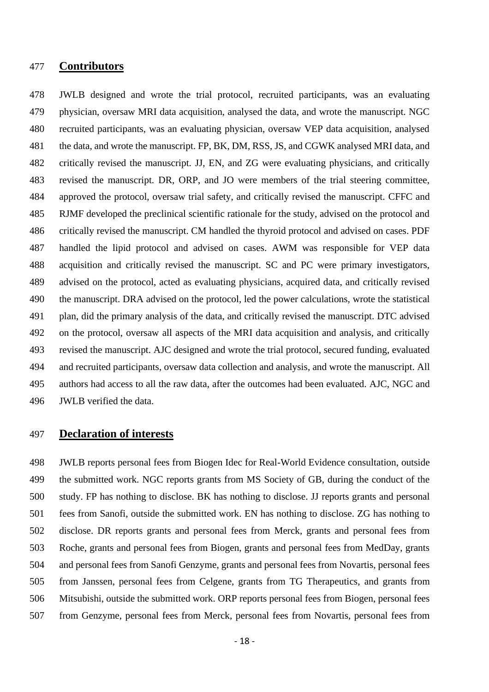## **Contributors**

 JWLB designed and wrote the trial protocol, recruited participants, was an evaluating physician, oversaw MRI data acquisition, analysed the data, and wrote the manuscript. NGC recruited participants, was an evaluating physician, oversaw VEP data acquisition, analysed the data, and wrote the manuscript. FP, BK, DM, RSS, JS, and CGWK analysed MRI data, and critically revised the manuscript. JJ, EN, and ZG were evaluating physicians, and critically revised the manuscript. DR, ORP, and JO were members of the trial steering committee, approved the protocol, oversaw trial safety, and critically revised the manuscript. CFFC and RJMF developed the preclinical scientific rationale for the study, advised on the protocol and critically revised the manuscript. CM handled the thyroid protocol and advised on cases. PDF handled the lipid protocol and advised on cases. AWM was responsible for VEP data acquisition and critically revised the manuscript. SC and PC were primary investigators, advised on the protocol, acted as evaluating physicians, acquired data, and critically revised the manuscript. DRA advised on the protocol, led the power calculations, wrote the statistical plan, did the primary analysis of the data, and critically revised the manuscript. DTC advised on the protocol, oversaw all aspects of the MRI data acquisition and analysis, and critically revised the manuscript. AJC designed and wrote the trial protocol, secured funding, evaluated and recruited participants, oversaw data collection and analysis, and wrote the manuscript. All authors had access to all the raw data, after the outcomes had been evaluated. AJC, NGC and JWLB verified the data.

## **Declaration of interests**

 JWLB reports personal fees from Biogen Idec for Real-World Evidence consultation, outside the submitted work. NGC reports grants from MS Society of GB, during the conduct of the study. FP has nothing to disclose. BK has nothing to disclose. JJ reports grants and personal fees from Sanofi, outside the submitted work. EN has nothing to disclose. ZG has nothing to disclose. DR reports grants and personal fees from Merck, grants and personal fees from Roche, grants and personal fees from Biogen, grants and personal fees from MedDay, grants and personal fees from Sanofi Genzyme, grants and personal fees from Novartis, personal fees from Janssen, personal fees from Celgene, grants from TG Therapeutics, and grants from Mitsubishi, outside the submitted work. ORP reports personal fees from Biogen, personal fees from Genzyme, personal fees from Merck, personal fees from Novartis, personal fees from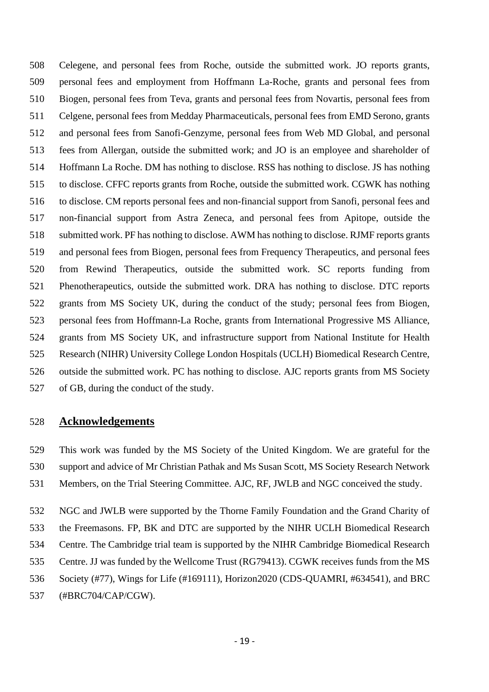Celegene, and personal fees from Roche, outside the submitted work. JO reports grants, personal fees and employment from Hoffmann La-Roche, grants and personal fees from Biogen, personal fees from Teva, grants and personal fees from Novartis, personal fees from Celgene, personal fees from Medday Pharmaceuticals, personal fees from EMD Serono, grants and personal fees from Sanofi-Genzyme, personal fees from Web MD Global, and personal fees from Allergan, outside the submitted work; and JO is an employee and shareholder of Hoffmann La Roche. DM has nothing to disclose. RSS has nothing to disclose. JS has nothing to disclose. CFFC reports grants from Roche, outside the submitted work. CGWK has nothing to disclose. CM reports personal fees and non-financial support from Sanofi, personal fees and non-financial support from Astra Zeneca, and personal fees from Apitope, outside the submitted work. PF has nothing to disclose. AWM has nothing to disclose. RJMF reports grants and personal fees from Biogen, personal fees from Frequency Therapeutics, and personal fees from Rewind Therapeutics, outside the submitted work. SC reports funding from Phenotherapeutics, outside the submitted work. DRA has nothing to disclose. DTC reports grants from MS Society UK, during the conduct of the study; personal fees from Biogen, personal fees from Hoffmann-La Roche, grants from International Progressive MS Alliance, grants from MS Society UK, and infrastructure support from National Institute for Health Research (NIHR) University College London Hospitals (UCLH) Biomedical Research Centre, outside the submitted work. PC has nothing to disclose. AJC reports grants from MS Society of GB, during the conduct of the study.

# **Acknowledgements**

 This work was funded by the MS Society of the United Kingdom. We are grateful for the support and advice of Mr Christian Pathak and Ms Susan Scott, MS Society Research Network Members, on the Trial Steering Committee. AJC, RF, JWLB and NGC conceived the study.

 NGC and JWLB were supported by the Thorne Family Foundation and the Grand Charity of the Freemasons. FP, BK and DTC are supported by the NIHR UCLH Biomedical Research Centre. The Cambridge trial team is supported by the NIHR Cambridge Biomedical Research Centre. JJ was funded by the Wellcome Trust (RG79413). CGWK receives funds from the MS Society (#77), Wings for Life (#169111), Horizon2020 (CDS-QUAMRI, #634541), and BRC

(#BRC704/CAP/CGW).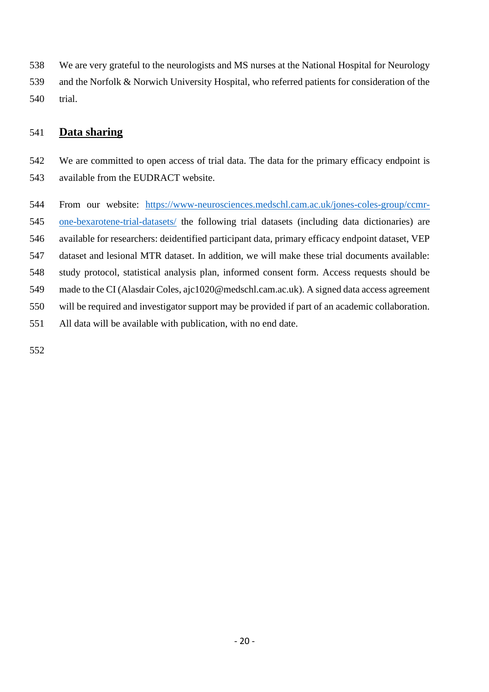We are very grateful to the neurologists and MS nurses at the National Hospital for Neurology and the Norfolk & Norwich University Hospital, who referred patients for consideration of the trial.

# **Data sharing**

 We are committed to open access of trial data. The data for the primary efficacy endpoint is available from the EUDRACT website.

 From our website: [https://www-neurosciences.medschl.cam.ac.uk/jones-coles-group/ccmr-](https://www-neurosciences.medschl.cam.ac.uk/jones-coles-group/ccmr-one-bexarotene-trial-datasets/) [one-bexarotene-trial-datasets/](https://www-neurosciences.medschl.cam.ac.uk/jones-coles-group/ccmr-one-bexarotene-trial-datasets/) the following trial datasets (including data dictionaries) are available for researchers: deidentified participant data, primary efficacy endpoint dataset, VEP dataset and lesional MTR dataset. In addition, we will make these trial documents available: study protocol, statistical analysis plan, informed consent form. Access requests should be made to the CI (Alasdair Coles, ajc1020@medschl.cam.ac.uk). A signed data access agreement will be required and investigator support may be provided if part of an academic collaboration. All data will be available with publication, with no end date.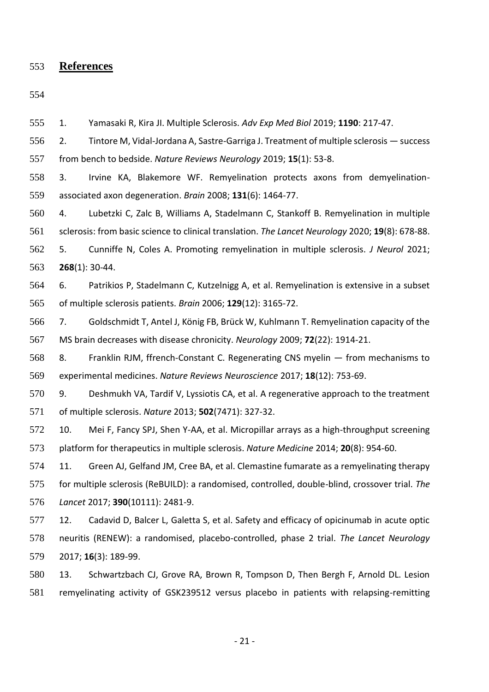**References**

 1. Yamasaki R, Kira JI. Multiple Sclerosis. *Adv Exp Med Biol* 2019; **1190**: 217-47. 2. Tintore M, Vidal-Jordana A, Sastre-Garriga J. Treatment of multiple sclerosis — success from bench to bedside. *Nature Reviews Neurology* 2019; **15**(1): 53-8. 3. Irvine KA, Blakemore WF. Remyelination protects axons from demyelination- associated axon degeneration. *Brain* 2008; **131**(6): 1464-77. 4. Lubetzki C, Zalc B, Williams A, Stadelmann C, Stankoff B. Remyelination in multiple sclerosis: from basic science to clinical translation. *The Lancet Neurology* 2020; **19**(8): 678-88. 5. Cunniffe N, Coles A. Promoting remyelination in multiple sclerosis. *J Neurol* 2021; **268**(1): 30-44. 6. Patrikios P, Stadelmann C, Kutzelnigg A, et al. Remyelination is extensive in a subset of multiple sclerosis patients. *Brain* 2006; **129**(12): 3165-72. 7. Goldschmidt T, Antel J, König FB, Brück W, Kuhlmann T. Remyelination capacity of the MS brain decreases with disease chronicity. *Neurology* 2009; **72**(22): 1914-21. 8. Franklin RJM, ffrench-Constant C. Regenerating CNS myelin — from mechanisms to experimental medicines. *Nature Reviews Neuroscience* 2017; **18**(12): 753-69. 9. Deshmukh VA, Tardif V, Lyssiotis CA, et al. A regenerative approach to the treatment of multiple sclerosis. *Nature* 2013; **502**(7471): 327-32. 10. Mei F, Fancy SPJ, Shen Y-AA, et al. Micropillar arrays as a high-throughput screening platform for therapeutics in multiple sclerosis. *Nature Medicine* 2014; **20**(8): 954-60. 11. Green AJ, Gelfand JM, Cree BA, et al. Clemastine fumarate as a remyelinating therapy for multiple sclerosis (ReBUILD): a randomised, controlled, double-blind, crossover trial. *The Lancet* 2017; **390**(10111): 2481-9. 12. Cadavid D, Balcer L, Galetta S, et al. Safety and efficacy of opicinumab in acute optic neuritis (RENEW): a randomised, placebo-controlled, phase 2 trial. *The Lancet Neurology* 2017; **16**(3): 189-99. 13. Schwartzbach CJ, Grove RA, Brown R, Tompson D, Then Bergh F, Arnold DL. Lesion remyelinating activity of GSK239512 versus placebo in patients with relapsing-remitting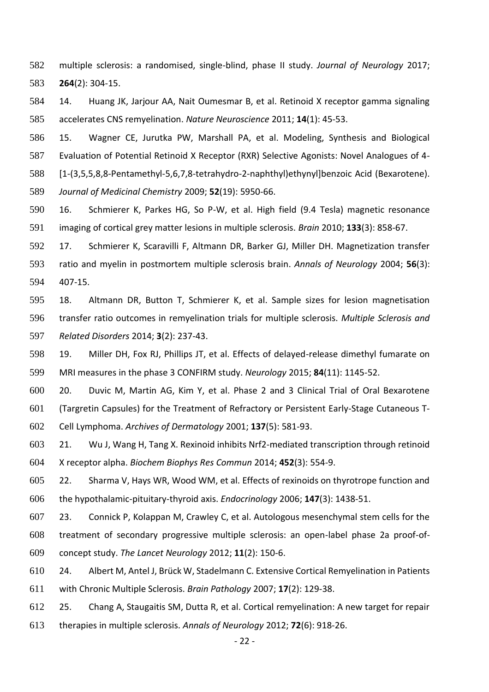multiple sclerosis: a randomised, single-blind, phase II study. *Journal of Neurology* 2017; **264**(2): 304-15.

 14. Huang JK, Jarjour AA, Nait Oumesmar B, et al. Retinoid X receptor gamma signaling accelerates CNS remyelination. *Nature Neuroscience* 2011; **14**(1): 45-53.

 15. Wagner CE, Jurutka PW, Marshall PA, et al. Modeling, Synthesis and Biological Evaluation of Potential Retinoid X Receptor (RXR) Selective Agonists: Novel Analogues of 4- [1-(3,5,5,8,8-Pentamethyl-5,6,7,8-tetrahydro-2-naphthyl)ethynyl]benzoic Acid (Bexarotene). *Journal of Medicinal Chemistry* 2009; **52**(19): 5950-66.

 16. Schmierer K, Parkes HG, So P-W, et al. High field (9.4 Tesla) magnetic resonance imaging of cortical grey matter lesions in multiple sclerosis. *Brain* 2010; **133**(3): 858-67.

 17. Schmierer K, Scaravilli F, Altmann DR, Barker GJ, Miller DH. Magnetization transfer ratio and myelin in postmortem multiple sclerosis brain. *Annals of Neurology* 2004; **56**(3): 407-15.

 18. Altmann DR, Button T, Schmierer K, et al. Sample sizes for lesion magnetisation transfer ratio outcomes in remyelination trials for multiple sclerosis. *Multiple Sclerosis and Related Disorders* 2014; **3**(2): 237-43.

 19. Miller DH, Fox RJ, Phillips JT, et al. Effects of delayed-release dimethyl fumarate on MRI measures in the phase 3 CONFIRM study. *Neurology* 2015; **84**(11): 1145-52.

 20. Duvic M, Martin AG, Kim Y, et al. Phase 2 and 3 Clinical Trial of Oral Bexarotene (Targretin Capsules) for the Treatment of Refractory or Persistent Early-Stage Cutaneous T-Cell Lymphoma. *Archives of Dermatology* 2001; **137**(5): 581-93.

 21. Wu J, Wang H, Tang X. Rexinoid inhibits Nrf2-mediated transcription through retinoid X receptor alpha. *Biochem Biophys Res Commun* 2014; **452**(3): 554-9.

 22. Sharma V, Hays WR, Wood WM, et al. Effects of rexinoids on thyrotrope function and the hypothalamic-pituitary-thyroid axis. *Endocrinology* 2006; **147**(3): 1438-51.

 23. Connick P, Kolappan M, Crawley C, et al. Autologous mesenchymal stem cells for the treatment of secondary progressive multiple sclerosis: an open-label phase 2a proof-of-concept study. *The Lancet Neurology* 2012; **11**(2): 150-6.

 24. Albert M, Antel J, Brück W, Stadelmann C. Extensive Cortical Remyelination in Patients with Chronic Multiple Sclerosis. *Brain Pathology* 2007; **17**(2): 129-38.

 25. Chang A, Staugaitis SM, Dutta R, et al. Cortical remyelination: A new target for repair therapies in multiple sclerosis. *Annals of Neurology* 2012; **72**(6): 918-26.

- 22 -